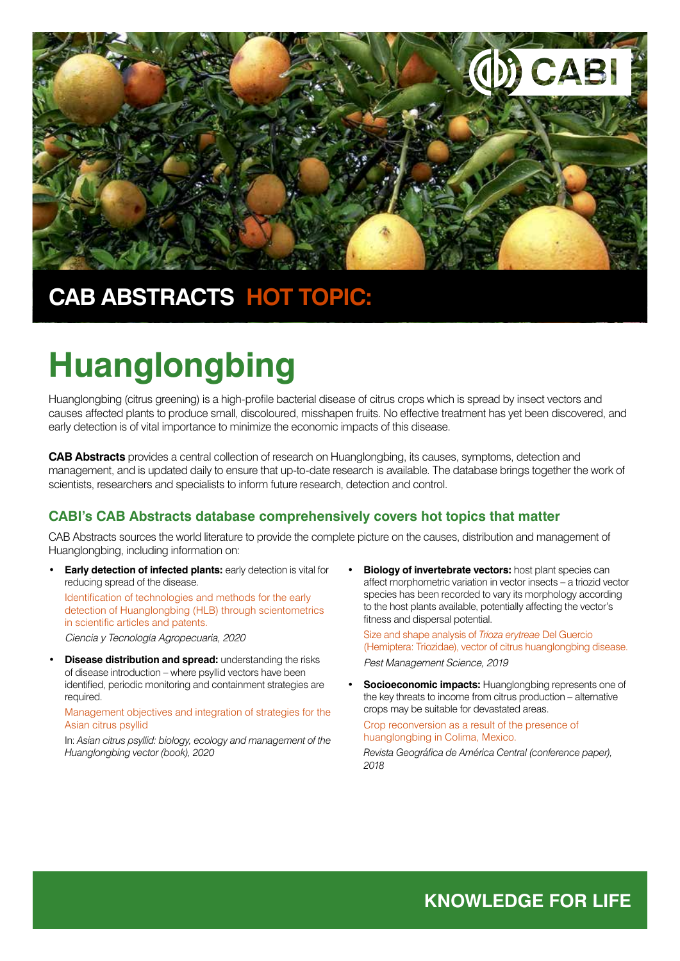

## **CAB ABSTRACTS HOT TOPIC:**

# **Huanglongbing**

Huanglongbing (citrus greening) is a high-profile bacterial disease of citrus crops which is spread by insect vectors and causes affected plants to produce small, discoloured, misshapen fruits. No effective treatment has yet been discovered, and early detection is of vital importance to minimize the economic impacts of this disease.

**CAB Abstracts** provides a central collection of research on Huanglongbing, its causes, symptoms, detection and management, and is updated daily to ensure that up-to-date research is available. The database brings together the work of scientists, researchers and specialists to inform future research, detection and control.

### **CABI's CAB Abstracts database comprehensively covers hot topics that matter**

CAB Abstracts sources the world literature to provide the complete picture on the causes, distribution and management of Huanglongbing, including information on:

• **Early detection of infected plants:** early detection is vital for reducing spread of the disease.

Identification of technologies and methods for the early detection of Huanglongbing (HLB) through scientometrics in scientific articles and patents.

*Ciencia y Tecnología Agropecuaria, 2020*

• **Disease distribution and spread:** understanding the risks of disease introduction – where psyllid vectors have been identified, periodic monitoring and containment strategies are required.

Management objectives and integration of strategies for the Asian citrus psyllid

In: *Asian citrus psyllid: biology, ecology and management of the Huanglongbing vector (book), 2020*

**Biology of invertebrate vectors:** host plant species can affect morphometric variation in vector insects – a triozid vector species has been recorded to vary its morphology according to the host plants available, potentially affecting the vector's fitness and dispersal potential.

Size and shape analysis of *Trioza erytreae* Del Guercio (Hemiptera: Triozidae), vector of citrus huanglongbing disease.

*Pest Management Science, 2019*

**Socioeconomic impacts:** Huanglongbing represents one of the key threats to income from citrus production – alternative crops may be suitable for devastated areas.

Crop reconversion as a result of the presence of huanglongbing in Colima, Mexico.

*Revista Geográfica de América Central (conference paper), 2018*